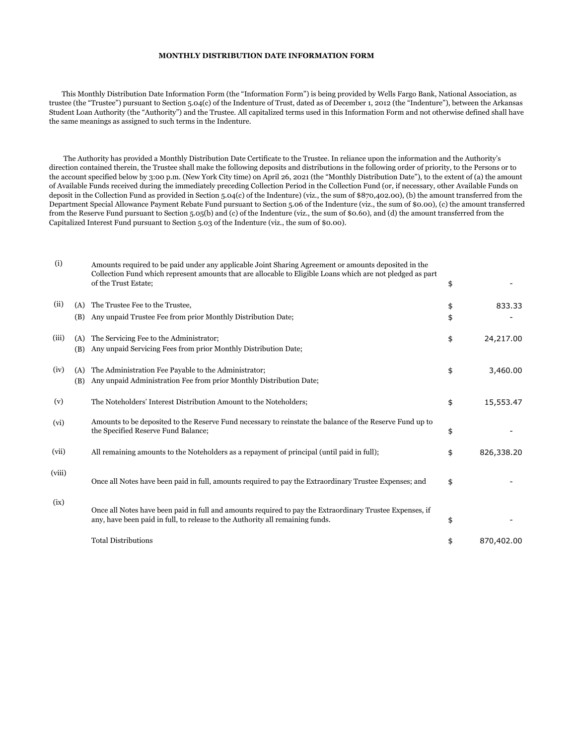## **MONTHLY DISTRIBUTION DATE INFORMATION FORM**

 This Monthly Distribution Date Information Form (the "Information Form") is being provided by Wells Fargo Bank, National Association, as trustee (the "Trustee") pursuant to Section 5.04(c) of the Indenture of Trust, dated as of December 1, 2012 (the "Indenture"), between the Arkansas Student Loan Authority (the "Authority") and the Trustee. All capitalized terms used in this Information Form and not otherwise defined shall have the same meanings as assigned to such terms in the Indenture.

 The Authority has provided a Monthly Distribution Date Certificate to the Trustee. In reliance upon the information and the Authority's direction contained therein, the Trustee shall make the following deposits and distributions in the following order of priority, to the Persons or to the account specified below by 3:00 p.m. (New York City time) on April 26, 2021 (the "Monthly Distribution Date"), to the extent of (a) the amount of Available Funds received during the immediately preceding Collection Period in the Collection Fund (or, if necessary, other Available Funds on deposit in the Collection Fund as provided in Section 5.04(c) of the Indenture) (viz., the sum of \$870,402.00), (b) the amount transferred from the Department Special Allowance Payment Rebate Fund pursuant to Section 5.06 of the Indenture (viz., the sum of \$0.00), (c) the amount transferred from the Reserve Fund pursuant to Section 5.05(b) and (c) of the Indenture (viz., the sum of \$0.60), and (d) the amount transferred from the Capitalized Interest Fund pursuant to Section 5.03 of the Indenture (viz., the sum of \$0.00).

| (i)    |     | Amounts required to be paid under any applicable Joint Sharing Agreement or amounts deposited in the<br>Collection Fund which represent amounts that are allocable to Eligible Loans which are not pledged as part<br>of the Trust Estate; | \$               |
|--------|-----|--------------------------------------------------------------------------------------------------------------------------------------------------------------------------------------------------------------------------------------------|------------------|
| (ii)   | (A) | The Trustee Fee to the Trustee,                                                                                                                                                                                                            | \$<br>833.33     |
|        | (B) | Any unpaid Trustee Fee from prior Monthly Distribution Date;                                                                                                                                                                               | \$               |
| (iii)  | (A) | The Servicing Fee to the Administrator;                                                                                                                                                                                                    | \$<br>24,217.00  |
|        | (B) | Any unpaid Servicing Fees from prior Monthly Distribution Date;                                                                                                                                                                            |                  |
| (iv)   | (A) | The Administration Fee Payable to the Administrator;                                                                                                                                                                                       | \$<br>3,460.00   |
|        | (B) | Any unpaid Administration Fee from prior Monthly Distribution Date;                                                                                                                                                                        |                  |
| (v)    |     | The Noteholders' Interest Distribution Amount to the Noteholders;                                                                                                                                                                          | \$<br>15,553.47  |
| (vi)   |     | Amounts to be deposited to the Reserve Fund necessary to reinstate the balance of the Reserve Fund up to<br>the Specified Reserve Fund Balance;                                                                                            | \$               |
| (vii)  |     | All remaining amounts to the Noteholders as a repayment of principal (until paid in full);                                                                                                                                                 | \$<br>826,338.20 |
| (viii) |     | Once all Notes have been paid in full, amounts required to pay the Extraordinary Trustee Expenses; and                                                                                                                                     | \$               |
| (ix)   |     | Once all Notes have been paid in full and amounts required to pay the Extraordinary Trustee Expenses, if<br>any, have been paid in full, to release to the Authority all remaining funds.                                                  | \$               |
|        |     | <b>Total Distributions</b>                                                                                                                                                                                                                 | \$<br>870,402.00 |